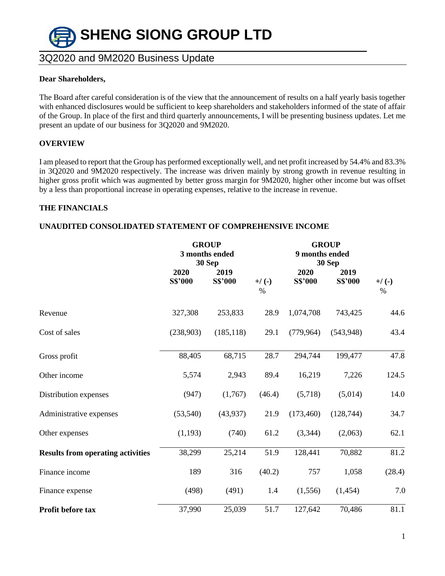

#### **Dear Shareholders,**

The Board after careful consideration is of the view that the announcement of results on a half yearly basis together with enhanced disclosures would be sufficient to keep shareholders and stakeholders informed of the state of affair of the Group. In place of the first and third quarterly announcements, I will be presenting business updates. Let me present an update of our business for 3Q2020 and 9M2020.

### **OVERVIEW**

I am pleased to report that the Group has performed exceptionally well, and net profit increased by 54.4% and 83.3% in 3Q2020 and 9M2020 respectively. The increase was driven mainly by strong growth in revenue resulting in higher gross profit which was augmented by better gross margin for 9M2020, higher other income but was offset by a less than proportional increase in operating expenses, relative to the increase in revenue.

### **THE FINANCIALS**

### **UNAUDITED CONSOLIDATED STATEMENT OF COMPREHENSIVE INCOME**

|                                          | <b>GROUP</b> |                          |                 |                | <b>GROUP</b>             |                 |  |
|------------------------------------------|--------------|--------------------------|-----------------|----------------|--------------------------|-----------------|--|
|                                          |              | 3 months ended<br>30 Sep |                 |                | 9 months ended<br>30 Sep |                 |  |
|                                          | 2020         | 2019                     |                 | 2020           | 2019                     |                 |  |
|                                          | S\$'000      | <b>S\$'000</b>           | $+/(-)$<br>$\%$ | <b>S\$'000</b> | <b>S\$'000</b>           | $+/(-)$<br>$\%$ |  |
| Revenue                                  | 327,308      | 253,833                  | 28.9            | 1,074,708      | 743,425                  | 44.6            |  |
| Cost of sales                            | (238,903)    | (185, 118)               | 29.1            | (779, 964)     | (543, 948)               | 43.4            |  |
| Gross profit                             | 88,405       | 68,715                   | 28.7            | 294,744        | 199,477                  | 47.8            |  |
| Other income                             | 5,574        | 2,943                    | 89.4            | 16,219         | 7,226                    | 124.5           |  |
| Distribution expenses                    | (947)        | (1,767)                  | (46.4)          | (5,718)        | (5,014)                  | 14.0            |  |
| Administrative expenses                  | (53, 540)    | (43, 937)                | 21.9            | (173, 460)     | (128, 744)               | 34.7            |  |
| Other expenses                           | (1,193)      | (740)                    | 61.2            | (3,344)        | (2,063)                  | 62.1            |  |
| <b>Results from operating activities</b> | 38,299       | 25,214                   | 51.9            | 128,441        | 70,882                   | 81.2            |  |
| Finance income                           | 189          | 316                      | (40.2)          | 757            | 1,058                    | (28.4)          |  |
| Finance expense                          | (498)        | (491)                    | 1.4             | (1,556)        | (1,454)                  | 7.0             |  |
| Profit before tax                        | 37,990       | 25,039                   | 51.7            | 127,642        | 70,486                   | 81.1            |  |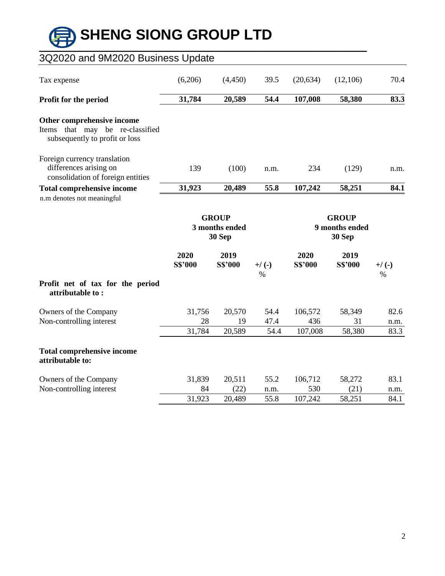# **SHENG SIONG GROUP LTD**

### **\_\_\_\_\_\_\_\_\_\_\_\_\_\_\_\_\_\_\_\_\_\_\_\_\_\_\_\_\_\_\_\_\_\_\_\_\_\_\_\_\_\_\_\_\_\_\_\_\_\_\_\_\_\_\_\_\_\_\_\_\_\_\_\_\_\_\_\_\_\_\_\_\_\_\_\_\_\_\_\_\_\_** 3Q2020 and 9M2020 Business Update Tax expense (6,206) (4,450) 39.5 (20,634) (12,106) 70.4 **Profit for the period 31,784 20,589 54.4 107,008 58,380 83.3 Other comprehensive income** Items that may be re-classified subsequently to profit or loss Foreign currency translation differences arising on consolidation of foreign entities 139 (100) n.m. 234 (129) n.m. **Total comprehensive income 31,923 20,489 55.8 107,242 58,251 84.1** n.m denotes not meaningful  **GROUP GROUP 3 months ended 9 months ended 30 Sep 30 Sep 2020 2019 2020 2019 S\$'000 S\$'000 +/ (-) S\$'000 S\$'000 +/ (-)**  $\%$ **Profit net of tax for the period attributable to :** Owners of the Company 31,756 20,570 54.4 106,572 58,349 82.6 Non-controlling interest 28 19 47.4 436 31 n.m. 31,784 20,589 54.4 107,008 58,380 83.3 **Total comprehensive income attributable to:** Owners of the Company 31,839 20,511 55.2 106,712 58,272 83.1 Non-controlling interest 84 (22) n.m. 530 (21) n.m. 31,923 20,489 55.8 107,242 58,251 84.1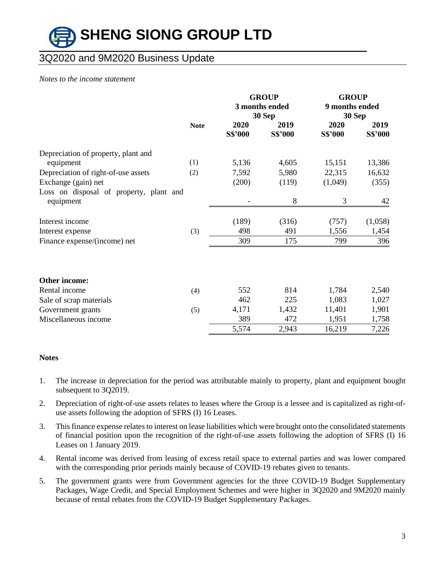# **SHENG SIONG GROUP LTD \_\_\_\_\_\_\_\_\_\_\_\_\_\_\_\_\_\_\_\_\_\_\_\_\_\_\_\_\_\_\_\_\_\_\_\_\_\_\_\_\_\_\_\_\_\_\_\_\_\_\_\_\_\_\_\_\_\_\_\_\_\_\_\_\_\_\_\_\_\_\_\_\_\_\_\_\_\_\_\_\_\_**

### 3Q2020 and 9M2020 Business Update

#### *Notes to the income statement*

|                                                      |             |                 | <b>GROUP</b><br>3 months ended<br>30 Sep | <b>GROUP</b><br>9 months ended<br>30 Sep |                        |
|------------------------------------------------------|-------------|-----------------|------------------------------------------|------------------------------------------|------------------------|
|                                                      | <b>Note</b> | 2020<br>S\$'000 | 2019<br><b>S\$'000</b>                   | 2020<br><b>S\$'000</b>                   | 2019<br><b>S\$'000</b> |
| Depreciation of property, plant and                  |             |                 |                                          |                                          |                        |
| equipment                                            | (1)         | 5,136           | 4,605                                    | 15,151                                   | 13,386                 |
| Depreciation of right-of-use assets                  | (2)         | 7,592           | 5,980                                    | 22,315                                   | 16,632                 |
| Exchange (gain) net                                  |             | (200)           | (119)                                    | (1,049)                                  | (355)                  |
| Loss on disposal of property, plant and<br>equipment |             |                 | 8                                        | 3                                        | 42                     |
| Interest income                                      |             | (189)           | (316)                                    | (757)                                    | (1,058)                |
| Interest expense                                     | (3)         | 498             | 491                                      | 1,556                                    | 1,454                  |
| Finance expense/(income) net                         |             | 309             | 175                                      | 799                                      | 396                    |
| Other income:                                        |             |                 |                                          |                                          |                        |
| Rental income                                        | (4)         | 552             | 814                                      | 1,784                                    | 2,540                  |
| Sale of scrap materials                              |             | 462             | 225                                      | 1,083                                    | 1,027                  |
| Government grants                                    | (5)         | 4,171           | 1,432                                    | 11,401                                   | 1,901                  |
| Miscellaneous income                                 |             | 389             | 472                                      | 1,951                                    | 1,758                  |
|                                                      |             | 5,574           | 2,943                                    | 16,219                                   | 7,226                  |

### **Notes**

- 1. The increase in depreciation for the period was attributable mainly to property, plant and equipment bought subsequent to 3Q2019.
- 2. Depreciation of right-of-use assets relates to leases where the Group is a lessee and is capitalized as right-ofuse assets following the adoption of SFRS (I) 16 Leases.
- 3. This finance expense relates to interest on lease liabilities which were brought onto the consolidated statements of financial position upon the recognition of the right-of-use assets following the adoption of SFRS (I) 16 Leases on 1 January 2019.
- 4. Rental income was derived from leasing of excess retail space to external parties and was lower compared with the corresponding prior periods mainly because of COVID-19 rebates given to tenants.
- 5. The government grants were from Government agencies for the three COVID-19 Budget Supplementary Packages, Wage Credit, and Special Employment Schemes and were higher in 3Q2020 and 9M2020 mainly because of rental rebates from the COVID-19 Budget Supplementary Packages.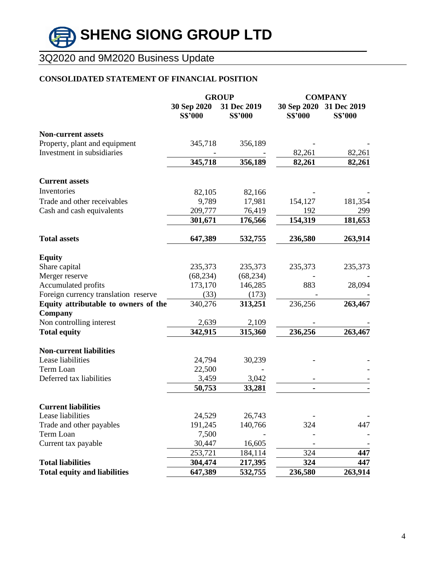### **CONSOLIDATED STATEMENT OF FINANCIAL POSITION**

|                                      |                               | <b>GROUP</b>                  | <b>COMPANY</b>                |                               |  |
|--------------------------------------|-------------------------------|-------------------------------|-------------------------------|-------------------------------|--|
|                                      | 30 Sep 2020<br><b>S\$'000</b> | 31 Dec 2019<br><b>S\$'000</b> | 30 Sep 2020<br><b>S\$'000</b> | 31 Dec 2019<br><b>S\$'000</b> |  |
| <b>Non-current assets</b>            |                               |                               |                               |                               |  |
| Property, plant and equipment        | 345,718                       | 356,189                       |                               |                               |  |
| Investment in subsidiaries           |                               |                               | 82,261                        | 82,261                        |  |
|                                      | 345,718                       | 356,189                       | 82,261                        | 82,261                        |  |
| <b>Current assets</b>                |                               |                               |                               |                               |  |
| Inventories                          | 82,105                        | 82,166                        |                               |                               |  |
| Trade and other receivables          | 9,789                         | 17,981                        | 154,127                       | 181,354                       |  |
| Cash and cash equivalents            | 209,777                       | 76,419                        | 192                           | 299                           |  |
|                                      | 301,671                       | 176,566                       | 154,319                       | 181,653                       |  |
| <b>Total assets</b>                  | 647,389                       | 532,755                       | 236,580                       | 263,914                       |  |
| <b>Equity</b>                        |                               |                               |                               |                               |  |
| Share capital                        | 235,373                       | 235,373                       | 235,373                       | 235,373                       |  |
| Merger reserve                       | (68, 234)                     | (68, 234)                     |                               |                               |  |
| Accumulated profits                  | 173,170                       | 146,285                       | 883                           | 28,094                        |  |
| Foreign currency translation reserve | (33)                          | (173)                         |                               |                               |  |
| Equity attributable to owners of the | 340,276                       | 313,251                       | 236,256                       | 263,467                       |  |
| Company                              |                               |                               |                               |                               |  |
| Non controlling interest             | 2,639                         | 2,109                         |                               |                               |  |
| <b>Total equity</b>                  | 342,915                       | 315,360                       | 236,256                       | 263,467                       |  |
| <b>Non-current liabilities</b>       |                               |                               |                               |                               |  |
| Lease liabilities                    | 24,794                        | 30,239                        |                               |                               |  |
| Term Loan                            | 22,500                        |                               |                               |                               |  |
| Deferred tax liabilities             | 3,459                         | 3,042                         |                               |                               |  |
|                                      | 50,753                        | 33,281                        |                               |                               |  |
| <b>Current liabilities</b>           |                               |                               |                               |                               |  |
| Lease liabilities                    | 24,529                        | 26,743                        |                               |                               |  |
| Trade and other payables             | 191,245                       | 140,766                       | 324                           | 447                           |  |
| Term Loan                            | 7,500                         |                               |                               |                               |  |
| Current tax payable                  | 30,447                        | 16,605                        |                               |                               |  |
|                                      | 253,721                       | 184,114                       | 324                           | 447                           |  |
| <b>Total liabilities</b>             | 304,474                       | 217,395                       | 324                           | 447                           |  |
| <b>Total equity and liabilities</b>  | 647,389                       | 532,755                       | 236,580                       | 263,914                       |  |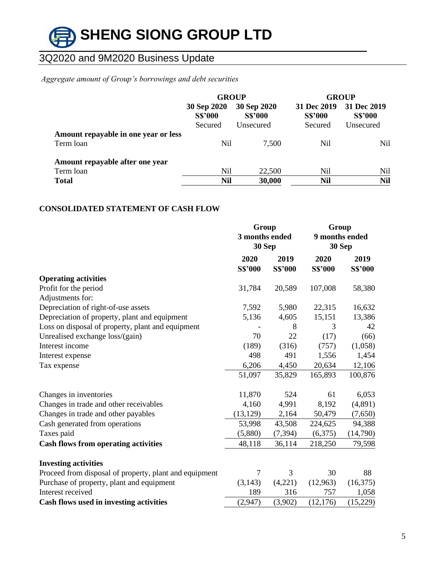

### *Aggregate amount of Group's borrowings and debt securities*

|                                                   | <b>GROUP</b>                             |                                            |                                          | <b>GROUP</b>                               |
|---------------------------------------------------|------------------------------------------|--------------------------------------------|------------------------------------------|--------------------------------------------|
|                                                   | 30 Sep 2020<br><b>S\$'000</b><br>Secured | 30 Sep 2020<br><b>S\$'000</b><br>Unsecured | 31 Dec 2019<br><b>S\$'000</b><br>Secured | 31 Dec 2019<br><b>S\$'000</b><br>Unsecured |
| Amount repayable in one year or less<br>Term loan | Nil                                      | 7,500                                      | Nil                                      | Nil                                        |
| Amount repayable after one year<br>Term loan      | Nil                                      | 22,500                                     | Nil                                      | Nil                                        |
| <b>Total</b>                                      | Nil                                      | 30,000                                     | <b>Nil</b>                               | <b>Nil</b>                                 |

### **CONSOLIDATED STATEMENT OF CASH FLOW**

|                                                        | Group<br>3 months ended<br>30 Sep |                        | Group<br>9 months ended<br>30 Sep |                 |
|--------------------------------------------------------|-----------------------------------|------------------------|-----------------------------------|-----------------|
|                                                        | 2020<br><b>S\$'000</b>            | 2019<br><b>S\$'000</b> | 2020<br><b>S\$'000</b>            | 2019<br>S\$'000 |
| <b>Operating activities</b>                            |                                   |                        |                                   |                 |
| Profit for the period                                  | 31,784                            | 20,589                 | 107,008                           | 58,380          |
| Adjustments for:                                       |                                   |                        |                                   |                 |
| Depreciation of right-of-use assets                    | 7,592                             | 5,980                  | 22,315                            | 16,632          |
| Depreciation of property, plant and equipment          | 5,136                             | 4,605                  | 15,151                            | 13,386          |
| Loss on disposal of property, plant and equipment      |                                   | 8                      | 3                                 | 42              |
| Unrealised exchange loss/(gain)                        | 70                                | 22                     | (17)                              | (66)            |
| Interest income                                        | (189)                             | (316)                  | (757)                             | (1,058)         |
| Interest expense                                       | 498                               | 491                    | 1,556                             | 1,454           |
| Tax expense                                            | 6,206                             | 4,450                  | 20,634                            | 12,106          |
|                                                        | 51,097                            | 35,829                 | 165,893                           | 100,876         |
| Changes in inventories                                 | 11,870                            | 524                    | 61                                | 6,053           |
| Changes in trade and other receivables                 | 4,160                             | 4,991                  | 8,192                             | (4,891)         |
| Changes in trade and other payables                    | (13, 129)                         | 2,164                  | 50,479                            | (7,650)         |
| Cash generated from operations                         | 53,998                            | 43,508                 | 224,625                           | 94,388          |
| Taxes paid                                             | (5,880)                           | (7, 394)               | (6,375)                           | (14,790)        |
| <b>Cash flows from operating activities</b>            | 48,118                            | 36,114                 | 218,250                           | 79,598          |
| <b>Investing activities</b>                            |                                   |                        |                                   |                 |
| Proceed from disposal of property, plant and equipment | 7                                 | 3                      | 30                                | 88              |
| Purchase of property, plant and equipment              | (3,143)                           | (4,221)                | (12,963)                          | (16,375)        |
| Interest received                                      | 189                               | 316                    | 757                               | 1,058           |
| Cash flows used in investing activities                | (2,947)                           | (3,902)                | (12, 176)                         | (15,229)        |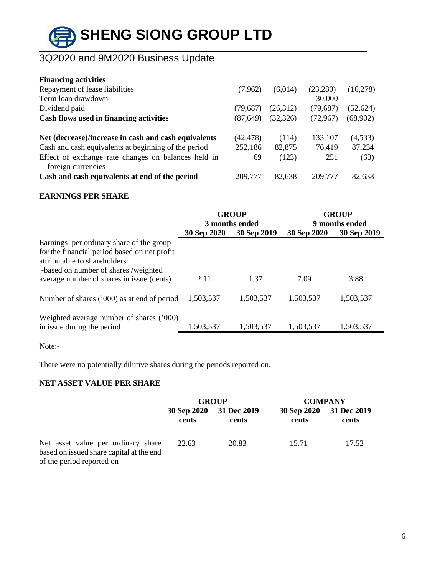# **SHENG SIONG GROUP LTD \_\_\_\_\_\_\_\_\_\_\_\_\_\_\_\_\_\_\_\_\_\_\_\_\_\_\_\_\_\_\_\_\_\_\_\_\_\_\_\_\_\_\_\_\_\_\_\_\_\_\_\_\_\_\_\_\_\_\_\_\_\_\_\_\_\_\_\_\_\_\_\_\_\_\_\_\_\_\_\_\_\_**

# 3Q2020 and 9M2020 Business Update

| <b>Financing activities</b>                          |           |           |           |           |
|------------------------------------------------------|-----------|-----------|-----------|-----------|
| Repayment of lease liabilities                       | (7,962)   | (6,014)   | (23,280)  | (16,278)  |
| Term loan drawdown                                   |           |           | 30,000    |           |
| Dividend paid                                        | (79, 687) | (26,312)  | (79, 687) | (52, 624) |
| Cash flows used in financing activities              | (87, 649) | (32, 326) | (72, 967) | (68,902)  |
|                                                      |           |           |           |           |
| Net (decrease)/increase in cash and cash equivalents | (42, 478) | (114)     | 133,107   | (4,533)   |
| Cash and cash equivalents at beginning of the period | 252,186   | 82,875    | 76,419    | 87,234    |
| Effect of exchange rate changes on balances held in  | 69        | (123)     | 251       | (63)      |
| foreign currencies                                   |           |           |           |           |
| Cash and cash equivalents at end of the period       | 209,777   | 82,638    | 209,777   | 82,638    |

### **EARNINGS PER SHARE**

|                                              | <b>GROUP</b><br>3 months ended |             |             | <b>GROUP</b><br>9 months ended |
|----------------------------------------------|--------------------------------|-------------|-------------|--------------------------------|
|                                              | 30 Sep 2020                    | 30 Sep 2019 | 30 Sep 2020 | 30 Sep 2019                    |
| Earnings per ordinary share of the group     |                                |             |             |                                |
| for the financial period based on net profit |                                |             |             |                                |
| attributable to shareholders:                |                                |             |             |                                |
| -based on number of shares /weighted         |                                |             |             |                                |
| average number of shares in issue (cents)    | 2.11                           | 1.37        | 7.09        | 3.88                           |
|                                              |                                |             |             |                                |
| Number of shares ('000) as at end of period  | 1.503.537                      | 1,503,537   | 1,503,537   | 1,503,537                      |
| Weighted average number of shares ('000)     |                                |             |             |                                |
| in issue during the period                   | 1,503,537                      | 1,503,537   | 1,503,537   | 1,503,537                      |
|                                              |                                |             |             |                                |

Note:-

There were no potentially dilutive shares during the periods reported on.

### **NET ASSET VALUE PER SHARE**

|                                                                                                             | <b>GROUP</b> |                                  | <b>COMPANY</b> |                                  |
|-------------------------------------------------------------------------------------------------------------|--------------|----------------------------------|----------------|----------------------------------|
|                                                                                                             | cents        | 30 Sep 2020 31 Dec 2019<br>cents | cents          | 30 Sep 2020 31 Dec 2019<br>cents |
| Net asset value per ordinary share<br>based on issued share capital at the end<br>of the period reported on | 22.63        | 20.83                            | 15.71          | 17.52                            |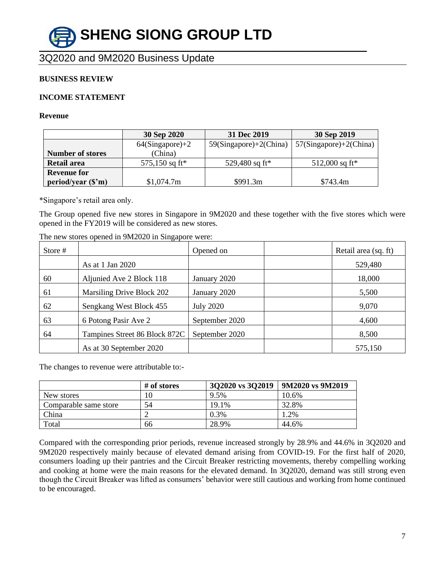# **SHENG SIONG GROUP LTD \_\_\_\_\_\_\_\_\_\_\_\_\_\_\_\_\_\_\_\_\_\_\_\_\_\_\_\_\_\_\_\_\_\_\_\_\_\_\_\_\_\_\_\_\_\_\_\_\_\_\_\_\_\_\_\_\_\_\_\_\_\_\_\_\_\_\_\_\_\_\_\_\_\_\_\_\_\_\_\_\_\_**

3Q2020 and 9M2020 Business Update

### **BUSINESS REVIEW**

### **INCOME STATEMENT**

#### **Revenue**

|                         | 30 Sep 2020        | 31 Dec 2019               | 30 Sep 2019               |
|-------------------------|--------------------|---------------------------|---------------------------|
|                         | $64(Singa pore)+2$ | $59(Singa pore)+2(China)$ | $57(Singa pore)+2(China)$ |
| <b>Number of stores</b> | (China)            |                           |                           |
| Retail area             | 575,150 sq ft*     | 529,480 sq ft*            | 512,000 sq ft*            |
| <b>Revenue for</b>      |                    |                           |                           |
| period/year (\$'m)      | \$1,074.7m         | \$991.3m                  | \$743.4m                  |

\*Singapore's retail area only.

The Group opened five new stores in Singapore in 9M2020 and these together with the five stores which were opened in the FY2019 will be considered as new stores.

| Store # |                               | Opened on        | Retail area (sq. ft) |
|---------|-------------------------------|------------------|----------------------|
|         | As at 1 Jan 2020              |                  | 529,480              |
| 60      | Aljunied Ave 2 Block 118      | January 2020     | 18,000               |
| 61      | Marsiling Drive Block 202     | January 2020     | 5,500                |
| 62      | Sengkang West Block 455       | <b>July 2020</b> | 9,070                |
| 63      | 6 Potong Pasir Ave 2          | September 2020   | 4,600                |
| 64      | Tampines Street 86 Block 872C | September 2020   | 8,500                |
|         | As at 30 September 2020       |                  | 575,150              |

The new stores opened in 9M2020 in Singapore were:

The changes to revenue were attributable to:-

|                       | # of stores | 3Q2020 vs 3Q2019 | 9M2020 vs 9M2019 |
|-----------------------|-------------|------------------|------------------|
| New stores            | 10          | 9.5%             | 10.6%            |
| Comparable same store | 54          | 19.1%            | 32.8%            |
| China                 |             | $0.3\%$          | 1.2%             |
| Total                 | 66          | 28.9%            | 44.6%            |

Compared with the corresponding prior periods, revenue increased strongly by 28.9% and 44.6% in 3Q2020 and 9M2020 respectively mainly because of elevated demand arising from COVID-19. For the first half of 2020, consumers loading up their pantries and the Circuit Breaker restricting movements, thereby compelling working and cooking at home were the main reasons for the elevated demand. In 3Q2020, demand was still strong even though the Circuit Breaker was lifted as consumers' behavior were still cautious and working from home continued to be encouraged.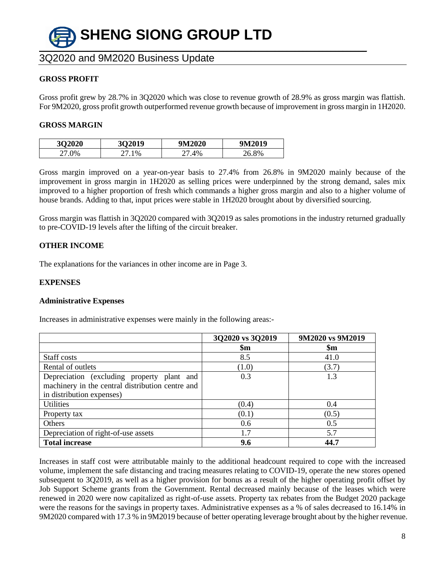

### **GROSS PROFIT**

Gross profit grew by 28.7% in 3Q2020 which was close to revenue growth of 28.9% as gross margin was flattish. For 9M2020, gross profit growth outperformed revenue growth because of improvement in gross margin in 1H2020.

#### **GROSS MARGIN**

| 3Q2020     | 302019 | 9M2020 | 9M2019   |
|------------|--------|--------|----------|
| $\Omega$ % | 1%     | 4%     | 8%<br>۱Ζ |

Gross margin improved on a year-on-year basis to 27.4% from 26.8% in 9M2020 mainly because of the improvement in gross margin in 1H2020 as selling prices were underpinned by the strong demand, sales mix improved to a higher proportion of fresh which commands a higher gross margin and also to a higher volume of house brands. Adding to that, input prices were stable in 1H2020 brought about by diversified sourcing.

Gross margin was flattish in 3Q2020 compared with 3Q2019 as sales promotions in the industry returned gradually to pre-COVID-19 levels after the lifting of the circuit breaker.

### **OTHER INCOME**

The explanations for the variances in other income are in Page 3.

### **EXPENSES**

#### **Administrative Expenses**

Increases in administrative expenses were mainly in the following areas:-

|                                                  | 3Q2020 vs 3Q2019 | 9M2020 vs 9M2019 |
|--------------------------------------------------|------------------|------------------|
|                                                  | $\mathbf{\$m}$   | $\mathbf{Sm}$    |
| Staff costs                                      | 8.5              | 41.0             |
| Rental of outlets                                | (1.0)            | (3.7)            |
| Depreciation (excluding property plant and       | 0.3              | 1.3              |
| machinery in the central distribution centre and |                  |                  |
| in distribution expenses)                        |                  |                  |
| <b>Utilities</b>                                 | (0.4)            | 0.4              |
| Property tax                                     | (0.1)            | (0.5)            |
| Others                                           | 0.6              | 0.5              |
| Depreciation of right-of-use assets              | 1.7              | 5.7              |
| <b>Total increase</b>                            | 9.6              | 44.7             |

Increases in staff cost were attributable mainly to the additional headcount required to cope with the increased volume, implement the safe distancing and tracing measures relating to COVID-19, operate the new stores opened subsequent to 3Q2019, as well as a higher provision for bonus as a result of the higher operating profit offset by Job Support Scheme grants from the Government. Rental decreased mainly because of the leases which were renewed in 2020 were now capitalized as right-of-use assets. Property tax rebates from the Budget 2020 package were the reasons for the savings in property taxes. Administrative expenses as a % of sales decreased to 16.14% in 9M2020 compared with 17.3 % in 9M2019 because of better operating leverage brought about by the higher revenue.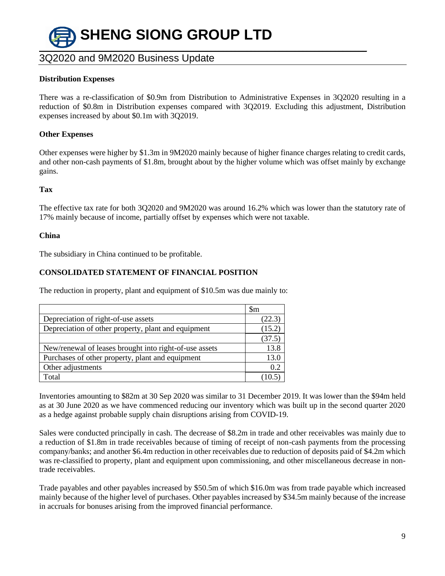

### **Distribution Expenses**

There was a re-classification of \$0.9m from Distribution to Administrative Expenses in 3Q2020 resulting in a reduction of \$0.8m in Distribution expenses compared with 3Q2019. Excluding this adjustment, Distribution expenses increased by about \$0.1m with 3Q2019.

### **Other Expenses**

Other expenses were higher by \$1.3m in 9M2020 mainly because of higher finance charges relating to credit cards, and other non-cash payments of \$1.8m, brought about by the higher volume which was offset mainly by exchange gains.

### **Tax**

The effective tax rate for both 3Q2020 and 9M2020 was around 16.2% which was lower than the statutory rate of 17% mainly because of income, partially offset by expenses which were not taxable.

### **China**

The subsidiary in China continued to be profitable.

### **CONSOLIDATED STATEMENT OF FINANCIAL POSITION**

The reduction in property, plant and equipment of \$10.5m was due mainly to:

|                                                        | $\mathop{\mathrm{Sm}}$ |
|--------------------------------------------------------|------------------------|
| Depreciation of right-of-use assets                    | (22.3)                 |
| Depreciation of other property, plant and equipment    | (15.2)                 |
|                                                        | (37.5)                 |
| New/renewal of leases brought into right-of-use assets | 13.8                   |
| Purchases of other property, plant and equipment       | 13.0                   |
| Other adjustments                                      | 0.2                    |
| Total                                                  |                        |

Inventories amounting to \$82m at 30 Sep 2020 was similar to 31 December 2019. It was lower than the \$94m held as at 30 June 2020 as we have commenced reducing our inventory which was built up in the second quarter 2020 as a hedge against probable supply chain disruptions arising from COVID-19.

Sales were conducted principally in cash. The decrease of \$8.2m in trade and other receivables was mainly due to a reduction of \$1.8m in trade receivables because of timing of receipt of non-cash payments from the processing company/banks; and another \$6.4m reduction in other receivables due to reduction of deposits paid of \$4.2m which was re-classified to property, plant and equipment upon commissioning, and other miscellaneous decrease in nontrade receivables.

Trade payables and other payables increased by \$50.5m of which \$16.0m was from trade payable which increased mainly because of the higher level of purchases. Other payables increased by \$34.5m mainly because of the increase in accruals for bonuses arising from the improved financial performance.